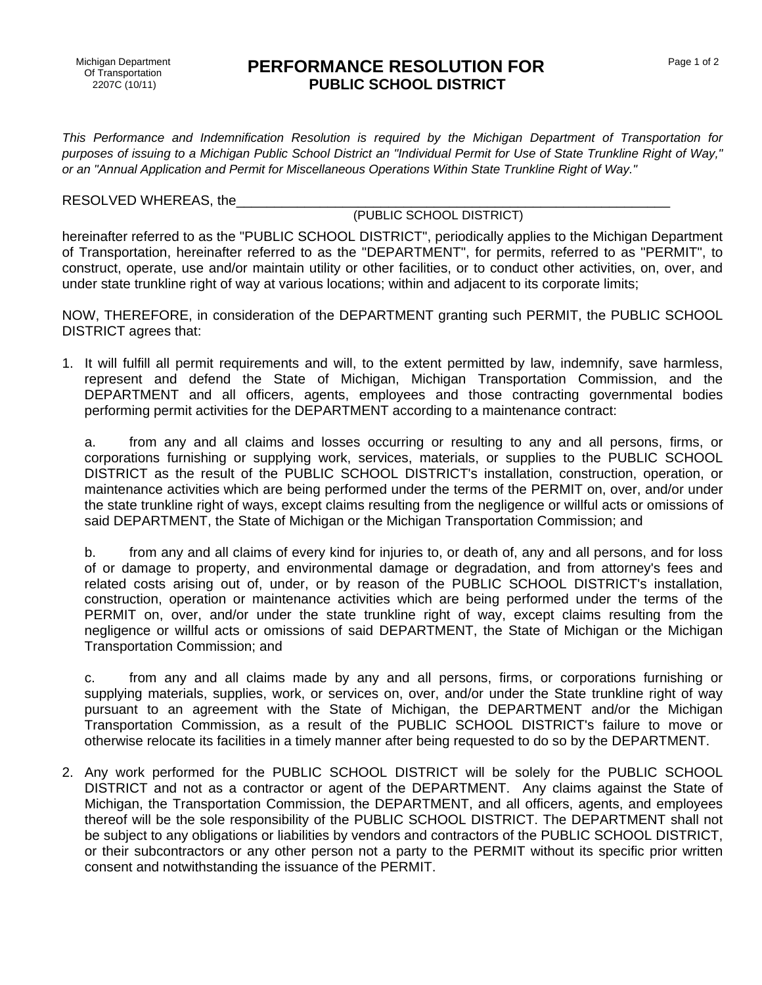## **PERFORMANCE RESOLUTION FOR PUBLIC SCHOOL DISTRICT**

*This Performance and Indemnification Resolution is required by the Michigan Department of Transportation for purposes of issuing to a Michigan Public School District an "Individual Permit for Use of State Trunkline Right of Way," or an "Annual Application and Permit for Miscellaneous Operations Within State Trunkline Right of Way."* 

RESOLVED WHEREAS, the

## (PUBLIC SCHOOL DISTRICT)

hereinafter referred to as the "PUBLIC SCHOOL DISTRICT", periodically applies to the Michigan Department of Transportation, hereinafter referred to as the "DEPARTMENT", for permits, referred to as "PERMIT", to construct, operate, use and/or maintain utility or other facilities, or to conduct other activities, on, over, and under state trunkline right of way at various locations; within and adjacent to its corporate limits;

NOW, THEREFORE, in consideration of the DEPARTMENT granting such PERMIT, the PUBLIC SCHOOL DISTRICT agrees that:

1. It will fulfill all permit requirements and will, to the extent permitted by law, indemnify, save harmless, represent and defend the State of Michigan, Michigan Transportation Commission, and the DEPARTMENT and all officers, agents, employees and those contracting governmental bodies performing permit activities for the DEPARTMENT according to a maintenance contract:

 a. from any and all claims and losses occurring or resulting to any and all persons, firms, or corporations furnishing or supplying work, services, materials, or supplies to the PUBLIC SCHOOL DISTRICT as the result of the PUBLIC SCHOOL DISTRICT's installation, construction, operation, or maintenance activities which are being performed under the terms of the PERMIT on, over, and/or under the state trunkline right of ways, except claims resulting from the negligence or willful acts or omissions of said DEPARTMENT, the State of Michigan or the Michigan Transportation Commission; and

 b. from any and all claims of every kind for injuries to, or death of, any and all persons, and for loss of or damage to property, and environmental damage or degradation, and from attorney's fees and related costs arising out of, under, or by reason of the PUBLIC SCHOOL DISTRICT's installation, construction, operation or maintenance activities which are being performed under the terms of the PERMIT on, over, and/or under the state trunkline right of way, except claims resulting from the negligence or willful acts or omissions of said DEPARTMENT, the State of Michigan or the Michigan Transportation Commission; and

 c. from any and all claims made by any and all persons, firms, or corporations furnishing or supplying materials, supplies, work, or services on, over, and/or under the State trunkline right of way pursuant to an agreement with the State of Michigan, the DEPARTMENT and/or the Michigan Transportation Commission, as a result of the PUBLIC SCHOOL DISTRICT's failure to move or otherwise relocate its facilities in a timely manner after being requested to do so by the DEPARTMENT.

2. Any work performed for the PUBLIC SCHOOL DISTRICT will be solely for the PUBLIC SCHOOL DISTRICT and not as a contractor or agent of the DEPARTMENT. Any claims against the State of Michigan, the Transportation Commission, the DEPARTMENT, and all officers, agents, and employees thereof will be the sole responsibility of the PUBLIC SCHOOL DISTRICT. The DEPARTMENT shall not be subject to any obligations or liabilities by vendors and contractors of the PUBLIC SCHOOL DISTRICT, or their subcontractors or any other person not a party to the PERMIT without its specific prior written consent and notwithstanding the issuance of the PERMIT.